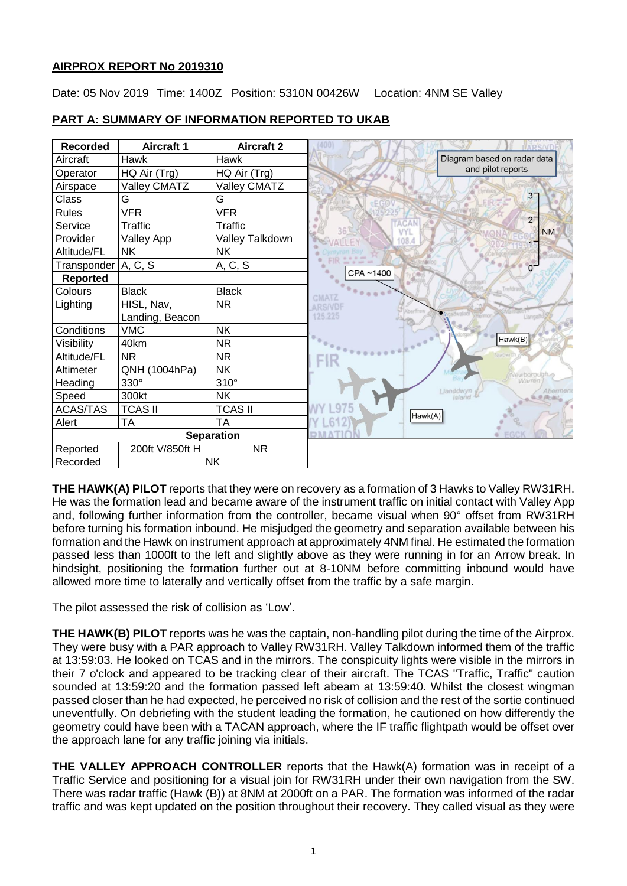## **AIRPROX REPORT No 2019310**

Date: 05 Nov 2019 Time: 1400Z Position: 5310N 00426W Location: 4NM SE Valley



# **PART A: SUMMARY OF INFORMATION REPORTED TO UKAB**

**THE HAWK(A) PILOT** reports that they were on recovery as a formation of 3 Hawks to Valley RW31RH. He was the formation lead and became aware of the instrument traffic on initial contact with Valley App and, following further information from the controller, became visual when 90° offset from RW31RH before turning his formation inbound. He misjudged the geometry and separation available between his formation and the Hawk on instrument approach at approximately 4NM final. He estimated the formation passed less than 1000ft to the left and slightly above as they were running in for an Arrow break. In hindsight, positioning the formation further out at 8-10NM before committing inbound would have allowed more time to laterally and vertically offset from the traffic by a safe margin.

The pilot assessed the risk of collision as 'Low'.

**THE HAWK(B) PILOT** reports was he was the captain, non-handling pilot during the time of the Airprox. They were busy with a PAR approach to Valley RW31RH. Valley Talkdown informed them of the traffic at 13:59:03. He looked on TCAS and in the mirrors. The conspicuity lights were visible in the mirrors in their 7 o'clock and appeared to be tracking clear of their aircraft. The TCAS "Traffic, Traffic" caution sounded at 13:59:20 and the formation passed left abeam at 13:59:40. Whilst the closest wingman passed closer than he had expected, he perceived no risk of collision and the rest of the sortie continued uneventfully. On debriefing with the student leading the formation, he cautioned on how differently the geometry could have been with a TACAN approach, where the IF traffic flightpath would be offset over the approach lane for any traffic joining via initials.

**THE VALLEY APPROACH CONTROLLER** reports that the Hawk(A) formation was in receipt of a Traffic Service and positioning for a visual join for RW31RH under their own navigation from the SW. There was radar traffic (Hawk (B)) at 8NM at 2000ft on a PAR. The formation was informed of the radar traffic and was kept updated on the position throughout their recovery. They called visual as they were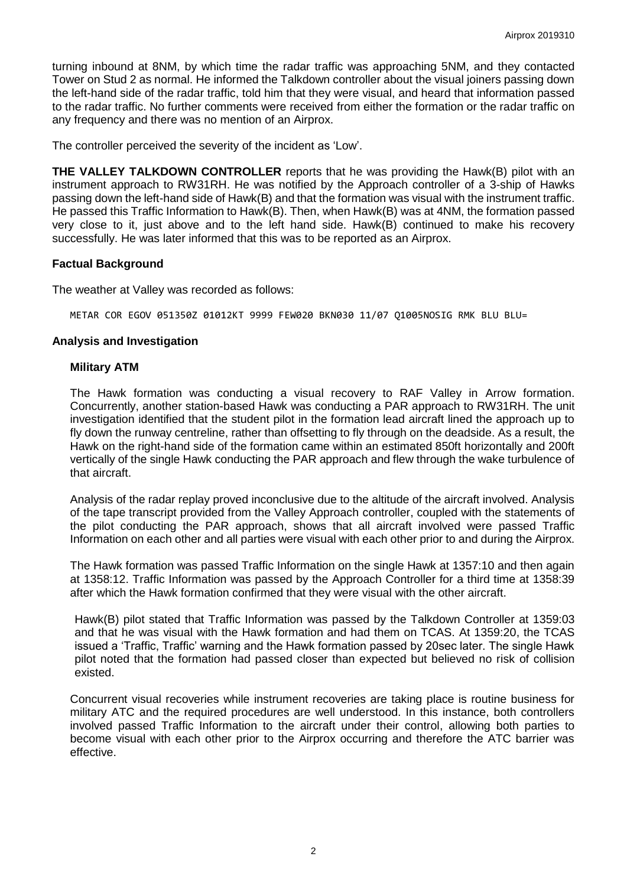turning inbound at 8NM, by which time the radar traffic was approaching 5NM, and they contacted Tower on Stud 2 as normal. He informed the Talkdown controller about the visual joiners passing down the left-hand side of the radar traffic, told him that they were visual, and heard that information passed to the radar traffic. No further comments were received from either the formation or the radar traffic on any frequency and there was no mention of an Airprox.

The controller perceived the severity of the incident as 'Low'.

**THE VALLEY TALKDOWN CONTROLLER** reports that he was providing the Hawk(B) pilot with an instrument approach to RW31RH. He was notified by the Approach controller of a 3-ship of Hawks passing down the left-hand side of Hawk(B) and that the formation was visual with the instrument traffic. He passed this Traffic Information to Hawk(B). Then, when Hawk(B) was at 4NM, the formation passed very close to it, just above and to the left hand side. Hawk(B) continued to make his recovery successfully. He was later informed that this was to be reported as an Airprox.

## **Factual Background**

The weather at Valley was recorded as follows:

METAR COR EGOV 051350Z 01012KT 9999 FEW020 BKN030 11/07 Q1005NOSIG RMK BLU BLU=

#### **Analysis and Investigation**

#### **Military ATM**

The Hawk formation was conducting a visual recovery to RAF Valley in Arrow formation. Concurrently, another station-based Hawk was conducting a PAR approach to RW31RH. The unit investigation identified that the student pilot in the formation lead aircraft lined the approach up to fly down the runway centreline, rather than offsetting to fly through on the deadside. As a result, the Hawk on the right-hand side of the formation came within an estimated 850ft horizontally and 200ft vertically of the single Hawk conducting the PAR approach and flew through the wake turbulence of that aircraft.

Analysis of the radar replay proved inconclusive due to the altitude of the aircraft involved. Analysis of the tape transcript provided from the Valley Approach controller, coupled with the statements of the pilot conducting the PAR approach, shows that all aircraft involved were passed Traffic Information on each other and all parties were visual with each other prior to and during the Airprox.

The Hawk formation was passed Traffic Information on the single Hawk at 1357:10 and then again at 1358:12. Traffic Information was passed by the Approach Controller for a third time at 1358:39 after which the Hawk formation confirmed that they were visual with the other aircraft.

Hawk(B) pilot stated that Traffic Information was passed by the Talkdown Controller at 1359:03 and that he was visual with the Hawk formation and had them on TCAS. At 1359:20, the TCAS issued a 'Traffic, Traffic' warning and the Hawk formation passed by 20sec later. The single Hawk pilot noted that the formation had passed closer than expected but believed no risk of collision existed.

Concurrent visual recoveries while instrument recoveries are taking place is routine business for military ATC and the required procedures are well understood. In this instance, both controllers involved passed Traffic Information to the aircraft under their control, allowing both parties to become visual with each other prior to the Airprox occurring and therefore the ATC barrier was effective.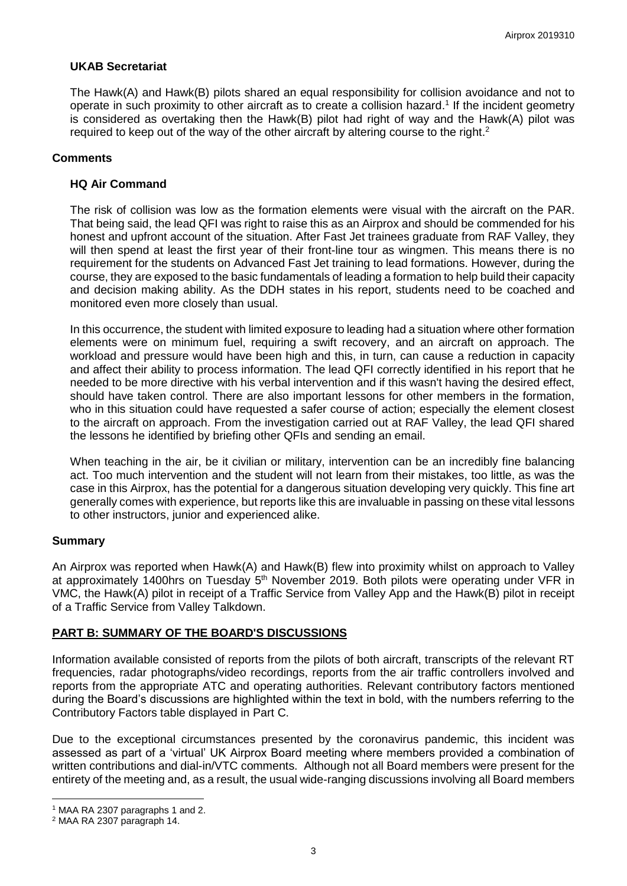## **UKAB Secretariat**

The Hawk(A) and Hawk(B) pilots shared an equal responsibility for collision avoidance and not to operate in such proximity to other aircraft as to create a collision hazard.<sup>1</sup> If the incident geometry is considered as overtaking then the Hawk(B) pilot had right of way and the Hawk(A) pilot was required to keep out of the way of the other aircraft by altering course to the right.<sup>2</sup>

## **Comments**

#### **HQ Air Command**

The risk of collision was low as the formation elements were visual with the aircraft on the PAR. That being said, the lead QFI was right to raise this as an Airprox and should be commended for his honest and upfront account of the situation. After Fast Jet trainees graduate from RAF Valley, they will then spend at least the first year of their front-line tour as wingmen. This means there is no requirement for the students on Advanced Fast Jet training to lead formations. However, during the course, they are exposed to the basic fundamentals of leading a formation to help build their capacity and decision making ability. As the DDH states in his report, students need to be coached and monitored even more closely than usual.

In this occurrence, the student with limited exposure to leading had a situation where other formation elements were on minimum fuel, requiring a swift recovery, and an aircraft on approach. The workload and pressure would have been high and this, in turn, can cause a reduction in capacity and affect their ability to process information. The lead QFI correctly identified in his report that he needed to be more directive with his verbal intervention and if this wasn't having the desired effect, should have taken control. There are also important lessons for other members in the formation, who in this situation could have requested a safer course of action; especially the element closest to the aircraft on approach. From the investigation carried out at RAF Valley, the lead QFI shared the lessons he identified by briefing other QFIs and sending an email.

When teaching in the air, be it civilian or military, intervention can be an incredibly fine balancing act. Too much intervention and the student will not learn from their mistakes, too little, as was the case in this Airprox, has the potential for a dangerous situation developing very quickly. This fine art generally comes with experience, but reports like this are invaluable in passing on these vital lessons to other instructors, junior and experienced alike.

#### **Summary**

An Airprox was reported when Hawk(A) and Hawk(B) flew into proximity whilst on approach to Valley at approximately 1400hrs on Tuesday 5<sup>th</sup> November 2019. Both pilots were operating under VFR in VMC, the Hawk(A) pilot in receipt of a Traffic Service from Valley App and the Hawk(B) pilot in receipt of a Traffic Service from Valley Talkdown.

# **PART B: SUMMARY OF THE BOARD'S DISCUSSIONS**

Information available consisted of reports from the pilots of both aircraft, transcripts of the relevant RT frequencies, radar photographs/video recordings, reports from the air traffic controllers involved and reports from the appropriate ATC and operating authorities. Relevant contributory factors mentioned during the Board's discussions are highlighted within the text in bold, with the numbers referring to the Contributory Factors table displayed in Part C.

Due to the exceptional circumstances presented by the coronavirus pandemic, this incident was assessed as part of a 'virtual' UK Airprox Board meeting where members provided a combination of written contributions and dial-in/VTC comments. Although not all Board members were present for the entirety of the meeting and, as a result, the usual wide-ranging discussions involving all Board members

 $\overline{a}$ <sup>1</sup> MAA RA 2307 paragraphs 1 and 2.

<sup>2</sup> MAA RA 2307 paragraph 14.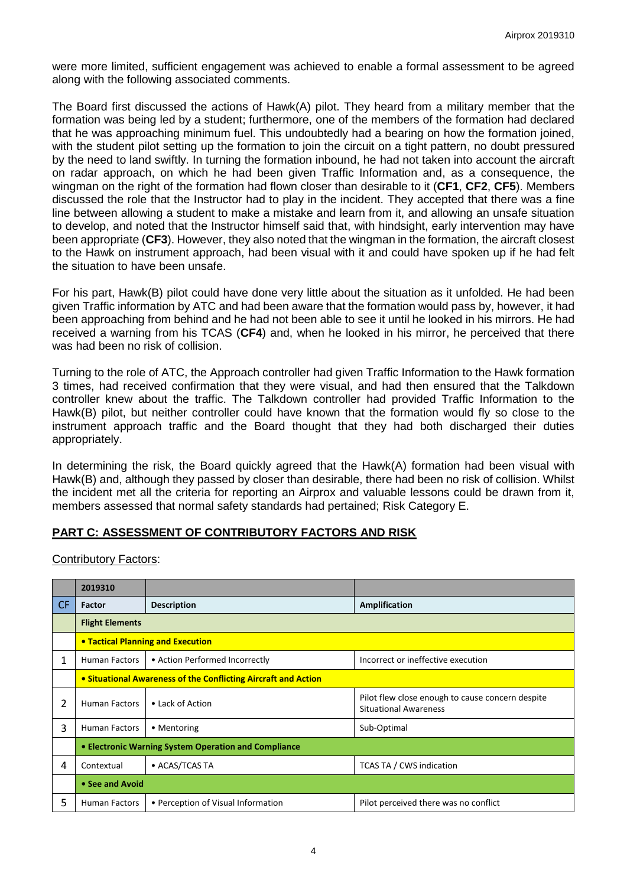were more limited, sufficient engagement was achieved to enable a formal assessment to be agreed along with the following associated comments.

The Board first discussed the actions of Hawk(A) pilot. They heard from a military member that the formation was being led by a student; furthermore, one of the members of the formation had declared that he was approaching minimum fuel. This undoubtedly had a bearing on how the formation joined, with the student pilot setting up the formation to join the circuit on a tight pattern, no doubt pressured by the need to land swiftly. In turning the formation inbound, he had not taken into account the aircraft on radar approach, on which he had been given Traffic Information and, as a consequence, the wingman on the right of the formation had flown closer than desirable to it (**CF1**, **CF2**, **CF5**). Members discussed the role that the Instructor had to play in the incident. They accepted that there was a fine line between allowing a student to make a mistake and learn from it, and allowing an unsafe situation to develop, and noted that the Instructor himself said that, with hindsight, early intervention may have been appropriate (**CF3**). However, they also noted that the wingman in the formation, the aircraft closest to the Hawk on instrument approach, had been visual with it and could have spoken up if he had felt the situation to have been unsafe.

For his part, Hawk(B) pilot could have done very little about the situation as it unfolded. He had been given Traffic information by ATC and had been aware that the formation would pass by, however, it had been approaching from behind and he had not been able to see it until he looked in his mirrors. He had received a warning from his TCAS (**CF4**) and, when he looked in his mirror, he perceived that there was had been no risk of collision.

Turning to the role of ATC, the Approach controller had given Traffic Information to the Hawk formation 3 times, had received confirmation that they were visual, and had then ensured that the Talkdown controller knew about the traffic. The Talkdown controller had provided Traffic Information to the Hawk(B) pilot, but neither controller could have known that the formation would fly so close to the instrument approach traffic and the Board thought that they had both discharged their duties appropriately.

In determining the risk, the Board quickly agreed that the Hawk(A) formation had been visual with Hawk(B) and, although they passed by closer than desirable, there had been no risk of collision. Whilst the incident met all the criteria for reporting an Airprox and valuable lessons could be drawn from it, members assessed that normal safety standards had pertained; Risk Category E.

#### **PART C: ASSESSMENT OF CONTRIBUTORY FACTORS AND RISK**

Contributory Factors:

|     | 2019310                                                        |                                    |                                                                                  |
|-----|----------------------------------------------------------------|------------------------------------|----------------------------------------------------------------------------------|
| CF. | Factor                                                         | <b>Description</b>                 | Amplification                                                                    |
|     | <b>Flight Elements</b>                                         |                                    |                                                                                  |
|     | <b>• Tactical Planning and Execution</b>                       |                                    |                                                                                  |
| 1   | <b>Human Factors</b>                                           | • Action Performed Incorrectly     | Incorrect or ineffective execution                                               |
|     | • Situational Awareness of the Conflicting Aircraft and Action |                                    |                                                                                  |
| 2   | Human Factors                                                  | • Lack of Action                   | Pilot flew close enough to cause concern despite<br><b>Situational Awareness</b> |
| 3   | <b>Human Factors</b>                                           | • Mentoring                        | Sub-Optimal                                                                      |
|     | • Electronic Warning System Operation and Compliance           |                                    |                                                                                  |
| 4   | Contextual                                                     | • ACAS/TCAS TA                     | <b>TCAS TA / CWS indication</b>                                                  |
|     | • See and Avoid                                                |                                    |                                                                                  |
| 5   | Human Factors                                                  | • Perception of Visual Information | Pilot perceived there was no conflict                                            |